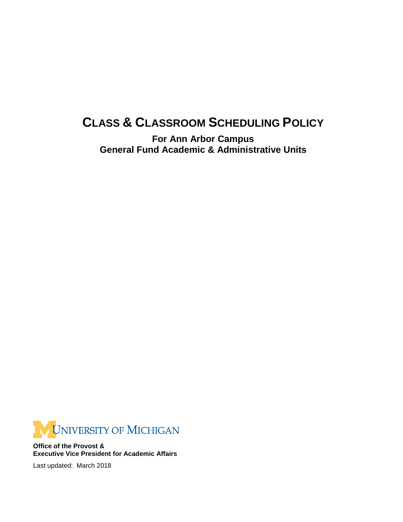# **CLASS & CLASSROOM SCHEDULING POLICY**

**For Ann Arbor Campus General Fund Academic & Administrative Units**



**Office of the Provost & Executive Vice President for Academic Affairs**

Last updated: March 2018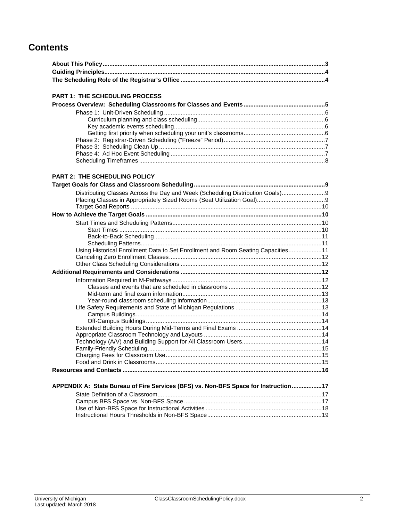# **Contents**

| <b>PART 1: THE SCHEDULING PROCESS</b>                                               |  |
|-------------------------------------------------------------------------------------|--|
|                                                                                     |  |
|                                                                                     |  |
|                                                                                     |  |
|                                                                                     |  |
|                                                                                     |  |
|                                                                                     |  |
|                                                                                     |  |
|                                                                                     |  |
|                                                                                     |  |
|                                                                                     |  |
| PART 2: THE SCHEDULING POLICY                                                       |  |
|                                                                                     |  |
|                                                                                     |  |
| Distributing Classes Across the Day and Week (Scheduling Distribution Goals)        |  |
|                                                                                     |  |
|                                                                                     |  |
|                                                                                     |  |
|                                                                                     |  |
|                                                                                     |  |
|                                                                                     |  |
|                                                                                     |  |
| Using Historical Enrollment Data to Set Enrollment and Room Seating Capacities11    |  |
|                                                                                     |  |
|                                                                                     |  |
|                                                                                     |  |
|                                                                                     |  |
|                                                                                     |  |
|                                                                                     |  |
|                                                                                     |  |
|                                                                                     |  |
|                                                                                     |  |
|                                                                                     |  |
|                                                                                     |  |
|                                                                                     |  |
|                                                                                     |  |
|                                                                                     |  |
|                                                                                     |  |
|                                                                                     |  |
|                                                                                     |  |
| APPENDIX A: State Bureau of Fire Services (BFS) vs. Non-BFS Space for Instruction17 |  |
|                                                                                     |  |
|                                                                                     |  |
|                                                                                     |  |
|                                                                                     |  |

Instructional Hours Thresholds in Non-BFS Space.....................................................................19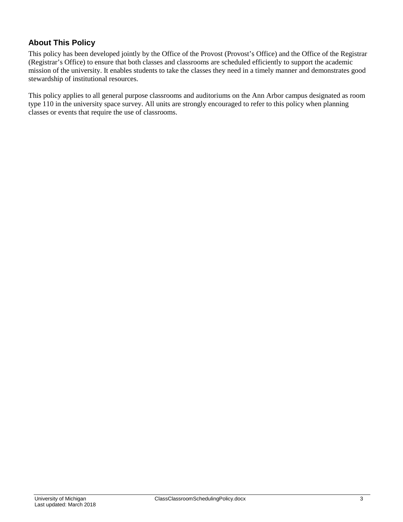# **About This Policy**

This policy has been developed jointly by the Office of the Provost (Provost's Office) and the Office of the Registrar (Registrar's Office) to ensure that both classes and classrooms are scheduled efficiently to support the academic mission of the university. It enables students to take the classes they need in a timely manner and demonstrates good stewardship of institutional resources.

This policy applies to all general purpose classrooms and auditoriums on the Ann Arbor campus designated as room type 110 in the university space survey. All units are strongly encouraged to refer to this policy when planning classes or events that require the use of classrooms.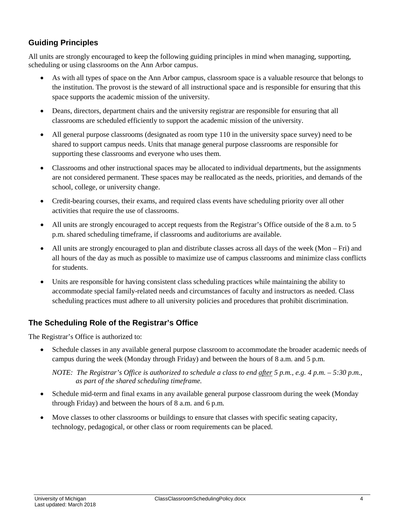# **Guiding Principles**

All units are strongly encouraged to keep the following guiding principles in mind when managing, supporting, scheduling or using classrooms on the Ann Arbor campus.

- As with all types of space on the Ann Arbor campus, classroom space is a valuable resource that belongs to the institution. The provost is the steward of all instructional space and is responsible for ensuring that this space supports the academic mission of the university.
- Deans, directors, department chairs and the university registrar are responsible for ensuring that all classrooms are scheduled efficiently to support the academic mission of the university.
- All general purpose classrooms (designated as room type 110 in the university space survey) need to be shared to support campus needs. Units that manage general purpose classrooms are responsible for supporting these classrooms and everyone who uses them.
- Classrooms and other instructional spaces may be allocated to individual departments, but the assignments are not considered permanent. These spaces may be reallocated as the needs, priorities, and demands of the school, college, or university change.
- Credit-bearing courses, their exams, and required class events have scheduling priority over all other activities that require the use of classrooms.
- All units are strongly encouraged to accept requests from the Registrar's Office outside of the 8 a.m. to 5 p.m. shared scheduling timeframe, if classrooms and auditoriums are available.
- All units are strongly encouraged to plan and distribute classes across all days of the week (Mon Fri) and all hours of the day as much as possible to maximize use of campus classrooms and minimize class conflicts for students.
- Units are responsible for having consistent class scheduling practices while maintaining the ability to accommodate special family-related needs and circumstances of faculty and instructors as needed. Class scheduling practices must adhere to all university policies and procedures that prohibit discrimination.

# **The Scheduling Role of the Registrar's Office**

The Registrar's Office is authorized to:

• Schedule classes in any available general purpose classroom to accommodate the broader academic needs of campus during the week (Monday through Friday) and between the hours of 8 a.m. and 5 p.m.

*NOTE: The Registrar's Office is authorized to schedule a class to end after 5 p.m., e.g. 4 p.m. – 5:30 p.m., as part of the shared scheduling timeframe.*

- Schedule mid-term and final exams in any available general purpose classroom during the week (Monday through Friday) and between the hours of 8 a.m. and 6 p.m.
- Move classes to other classrooms or buildings to ensure that classes with specific seating capacity, technology, pedagogical, or other class or room requirements can be placed.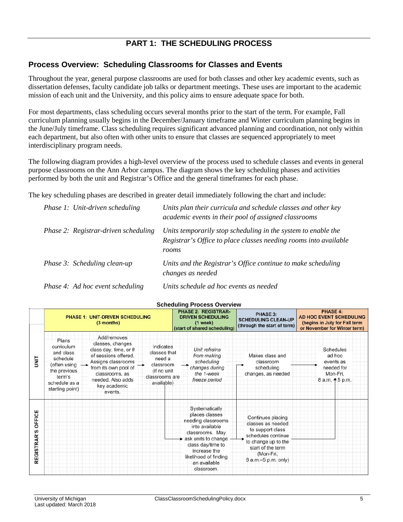# **PART 1: THE SCHEDULING PROCESS**

### **Process Overview: Scheduling Classrooms for Classes and Events**

Throughout the year, general purpose classrooms are used for both classes and other key academic events, such as dissertation defenses, faculty candidate job talks or department meetings. These uses are important to the academic mission of each unit and the University, and this policy aims to ensure adequate space for both.

For most departments, class scheduling occurs several months prior to the start of the term. For example, Fall curriculum planning usually begins in the December/January timeframe and Winter curriculum planning begins in the June/July timeframe. Class scheduling requires significant advanced planning and coordination, not only within each department, but also often with other units to ensure that classes are sequenced appropriately to meet interdisciplinary program needs.

The following diagram provides a high-level overview of the process used to schedule classes and events in general purpose classrooms on the Ann Arbor campus. The diagram shows the key scheduling phases and activities performed by both the unit and Registrar's Office and the general timeframes for each phase.

The key scheduling phases are described in greater detail immediately following the chart and include:

| Phase 1: Unit-driven scheduling      | Units plan their curricula and schedule classes and other key<br>academic events in their pool of assigned classrooms                      |
|--------------------------------------|--------------------------------------------------------------------------------------------------------------------------------------------|
| Phase 2: Registrar-driven scheduling | Units temporarily stop scheduling in the system to enable the<br>Registrar's Office to place classes needing rooms into available<br>rooms |
| Phase 3: Scheduling clean-up         | Units and the Registrar's Office continue to make scheduling<br>changes as needed                                                          |
|                                      |                                                                                                                                            |

*Phase 4: Ad hoc event scheduling Units schedule ad hoc events as needed*

|                              | <b>Scheduling Process Overview</b>                                                                                         |                                                                                                                                                                                                  |                                                                                                 |                                                                                                                                                                                                                              |                                                                                                                                                                  |                                                                                                                    |
|------------------------------|----------------------------------------------------------------------------------------------------------------------------|--------------------------------------------------------------------------------------------------------------------------------------------------------------------------------------------------|-------------------------------------------------------------------------------------------------|------------------------------------------------------------------------------------------------------------------------------------------------------------------------------------------------------------------------------|------------------------------------------------------------------------------------------------------------------------------------------------------------------|--------------------------------------------------------------------------------------------------------------------|
|                              | <b>PHASE 1: UNIT-DRIVEN SCHEDULING</b><br>(3 months)                                                                       |                                                                                                                                                                                                  |                                                                                                 | <b>PHASE 2: REGISTRAR-</b><br><b>DRIVEN SCHEDULING</b><br>(1 week)<br>(start of shared scheduling)                                                                                                                           | PHASE 3:<br><b>SCHEDULING CLEAN-UP</b><br>(through the start of term)                                                                                            | <b>PHASE 4:</b><br><b>AD HOC EVENT SCHEDULING</b><br>(begins in July for Fall term<br>or November for Winter term) |
| Ξ                            | Plans<br>curriculum<br>and class<br>schedule<br>(often using<br>the previous<br>term's<br>schedule as a<br>starting point) | Add/removes<br>classes, changes<br>class day, time, or #<br>of sessions offered.<br>Assigns classrooms<br>from its own pool of<br>classrooms, as<br>needed. Also adds<br>key academic<br>events. | Indicates<br>classes that<br>need a<br>classroom<br>(if no unit<br>classrooms are<br>available) | Unit refrains<br>from making<br>scheduling<br>changes during<br>the 1-week<br>freeze period                                                                                                                                  | Makes class and<br>classroom<br>scheduling<br>changes, as needed                                                                                                 | Schedules<br>ad hoc<br>events as<br>needed for<br>Mon-Fri.<br>8 a.m. $45$ p.m.                                     |
| OFFICE<br><b>REGISTRAR'S</b> |                                                                                                                            |                                                                                                                                                                                                  |                                                                                                 | Systematically<br>places classes<br>needing classrooms<br>into available<br>classrooms. May<br>$\rightarrow$ ask units to change<br>class day/time to<br>increase the<br>likelihood of finding<br>an available<br>classroom. | Continues placing<br>classes as needed<br>to support class<br>schedules continue<br>to change up to the<br>start of the term<br>(Mon-Fri,<br>8 a.m.-5 p.m. only) |                                                                                                                    |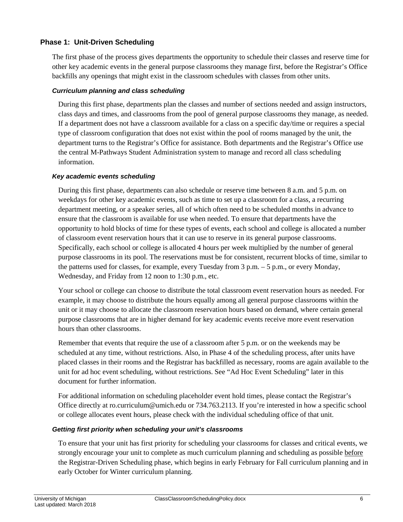#### **Phase 1: Unit-Driven Scheduling**

The first phase of the process gives departments the opportunity to schedule their classes and reserve time for other key academic events in the general purpose classrooms they manage first, before the Registrar's Office backfills any openings that might exist in the classroom schedules with classes from other units.

#### *Curriculum planning and class scheduling*

During this first phase, departments plan the classes and number of sections needed and assign instructors, class days and times, and classrooms from the pool of general purpose classrooms they manage, as needed. If a department does not have a classroom available for a class on a specific day/time or requires a special type of classroom configuration that does not exist within the pool of rooms managed by the unit, the department turns to the Registrar's Office for assistance. Both departments and the Registrar's Office use the central M-Pathways Student Administration system to manage and record all class scheduling information.

#### *Key academic events scheduling*

During this first phase, departments can also schedule or reserve time between 8 a.m. and 5 p.m. on weekdays for other key academic events, such as time to set up a classroom for a class, a recurring department meeting, or a speaker series, all of which often need to be scheduled months in advance to ensure that the classroom is available for use when needed. To ensure that departments have the opportunity to hold blocks of time for these types of events, each school and college is allocated a number of classroom event reservation hours that it can use to reserve in its general purpose classrooms. Specifically, each school or college is allocated 4 hours per week multiplied by the number of general purpose classrooms in its pool. The reservations must be for consistent, recurrent blocks of time, similar to the patterns used for classes, for example, every Tuesday from 3 p.m. – 5 p.m., or every Monday, Wednesday, and Friday from 12 noon to 1:30 p.m., etc.

Your school or college can choose to distribute the total classroom event reservation hours as needed. For example, it may choose to distribute the hours equally among all general purpose classrooms within the unit or it may choose to allocate the classroom reservation hours based on demand, where certain general purpose classrooms that are in higher demand for key academic events receive more event reservation hours than other classrooms.

Remember that events that require the use of a classroom after 5 p.m. or on the weekends may be scheduled at any time, without restrictions. Also, in Phase 4 of the scheduling process, after units have placed classes in their rooms and the Registrar has backfilled as necessary, rooms are again available to the unit for ad hoc event scheduling, without restrictions. See "Ad Hoc Event Scheduling" later in this document for further information.

For additional information on scheduling placeholder event hold times, please contact the Registrar's Office directly at [ro.curriculum@umich.edu](mailto:ro.curriculum@umich.edu) or 734.763.2113. If you're interested in how a specific school or college allocates event hours, please check with the individual scheduling office of that unit.

#### *Getting first priority when scheduling your unit's classrooms*

To ensure that your unit has first priority for scheduling your classrooms for classes and critical events, we strongly encourage your unit to complete as much curriculum planning and scheduling as possible before the Registrar-Driven Scheduling phase, which begins in early February for Fall curriculum planning and in early October for Winter curriculum planning.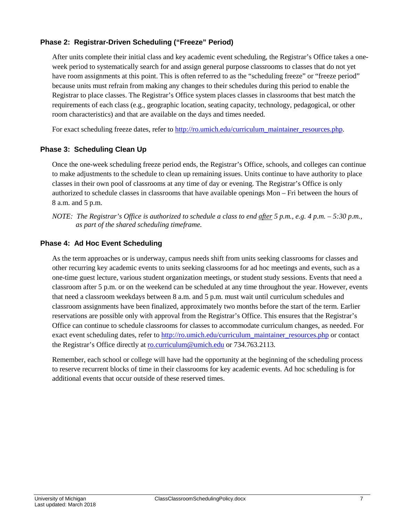#### **Phase 2: Registrar-Driven Scheduling ("Freeze" Period)**

After units complete their initial class and key academic event scheduling, the Registrar's Office takes a oneweek period to systematically search for and assign general purpose classrooms to classes that do not yet have room assignments at this point. This is often referred to as the "scheduling freeze" or "freeze period" because units must refrain from making any changes to their schedules during this period to enable the Registrar to place classes. The Registrar's Office system places classes in classrooms that best match the requirements of each class (e.g., geographic location, seating capacity, technology, pedagogical, or other room characteristics) and that are available on the days and times needed.

For exact scheduling freeze dates, refer to [http://ro.umich.edu/curriculum\\_maintainer\\_resources.php.](http://ro.umich.edu/curriculum_maintainer_resources.php)

#### **Phase 3: Scheduling Clean Up**

Once the one-week scheduling freeze period ends, the Registrar's Office, schools, and colleges can continue to make adjustments to the schedule to clean up remaining issues. Units continue to have authority to place classes in their own pool of classrooms at any time of day or evening. The Registrar's Office is only authorized to schedule classes in classrooms that have available openings Mon – Fri between the hours of 8 a.m. and 5 p.m.

*NOTE: The Registrar's Office is authorized to schedule a class to end after 5 p.m., e.g. 4 p.m. – 5:30 p.m., as part of the shared scheduling timeframe.*

#### **Phase 4: Ad Hoc Event Scheduling**

As the term approaches or is underway, campus needs shift from units seeking classrooms for classes and other recurring key academic events to units seeking classrooms for ad hoc meetings and events, such as a one-time guest lecture, various student organization meetings, or student study sessions. Events that need a classroom after 5 p.m. or on the weekend can be scheduled at any time throughout the year. However, events that need a classroom weekdays between 8 a.m. and 5 p.m. must wait until curriculum schedules and classroom assignments have been finalized, approximately two months before the start of the term. Earlier reservations are possible only with approval from the Registrar's Office. This ensures that the Registrar's Office can continue to schedule classrooms for classes to accommodate curriculum changes, as needed. For exact event scheduling dates, refer to [http://ro.umich.edu/curriculum\\_maintainer\\_resources.php](http://ro.umich.edu/curriculum_maintainer_resources.php) or contact the Registrar's Office directly at [ro.curriculum@umich.edu](mailto:ro.curriculum@umich.edu) or 734.763.2113.

Remember, each school or college will have had the opportunity at the beginning of the scheduling process to reserve recurrent blocks of time in their classrooms for key academic events. Ad hoc scheduling is for additional events that occur outside of these reserved times.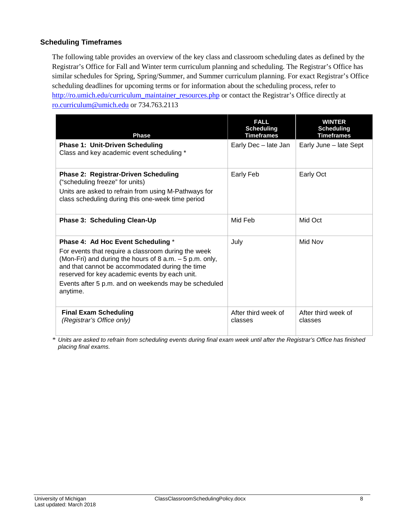#### **Scheduling Timeframes**

The following table provides an overview of the key class and classroom scheduling dates as defined by the Registrar's Office for Fall and Winter term curriculum planning and scheduling. The Registrar's Office has similar schedules for Spring, Spring/Summer, and Summer curriculum planning. For exact Registrar's Office scheduling deadlines for upcoming terms or for information about the scheduling process, refer to [http://ro.umich.edu/curriculum\\_maintainer\\_resources.php](http://ro.umich.edu/curriculum_maintainer_resources.php) or contact the Registrar's Office directly at [ro.curriculum@umich.edu](mailto:ro.curriculum@umich.edu) or 734.763.2113

| <b>Phase</b>                                                                                                                                                                                                           | <b>FALL</b><br><b>Scheduling</b><br><b>Timeframes</b> | <b>WINTER</b><br><b>Scheduling</b><br><b>Timeframes</b> |
|------------------------------------------------------------------------------------------------------------------------------------------------------------------------------------------------------------------------|-------------------------------------------------------|---------------------------------------------------------|
| <b>Phase 1: Unit-Driven Scheduling</b><br>Class and key academic event scheduling *                                                                                                                                    | Early Dec - late Jan                                  | Early June - late Sept                                  |
| Phase 2: Registrar-Driven Scheduling<br>("scheduling freeze" for units)                                                                                                                                                | Early Feb                                             | Early Oct                                               |
| Units are asked to refrain from using M-Pathways for<br>class scheduling during this one-week time period                                                                                                              |                                                       |                                                         |
| <b>Phase 3: Scheduling Clean-Up</b>                                                                                                                                                                                    | Mid Feb                                               | Mid Oct                                                 |
| Phase 4: Ad Hoc Event Scheduling *                                                                                                                                                                                     | July                                                  | Mid Nov                                                 |
| For events that require a classroom during the week<br>(Mon-Fri) and during the hours of $8$ a.m. $-5$ p.m. only,<br>and that cannot be accommodated during the time<br>reserved for key academic events by each unit. |                                                       |                                                         |
| Events after 5 p.m. and on weekends may be scheduled<br>anytime.                                                                                                                                                       |                                                       |                                                         |
| <b>Final Exam Scheduling</b><br>(Registrar's Office only)                                                                                                                                                              | After third week of<br>classes                        | After third week of<br>classes                          |

*\* Units are asked to refrain from scheduling events during final exam week until after the Registrar's Office has finished placing final exams.*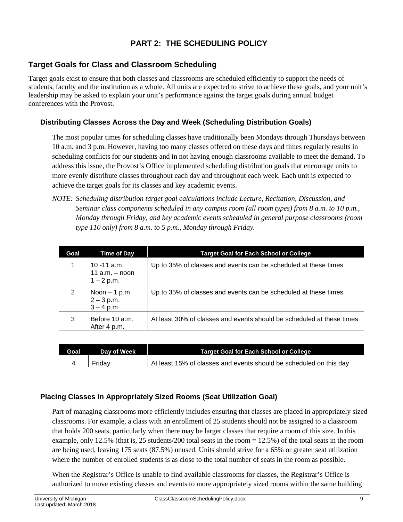# **PART 2: THE SCHEDULING POLICY**

# **Target Goals for Class and Classroom Scheduling**

Target goals exist to ensure that both classes and classrooms are scheduled efficiently to support the needs of students, faculty and the institution as a whole. All units are expected to strive to achieve these goals, and your unit's leadership may be asked to explain your unit's performance against the target goals during annual budget conferences with the Provost.

#### **Distributing Classes Across the Day and Week (Scheduling Distribution Goals)**

The most popular times for scheduling classes have traditionally been Mondays through Thursdays between 10 a.m. and 3 p.m. However, having too many classes offered on these days and times regularly results in scheduling conflicts for our students and in not having enough classrooms available to meet the demand. To address this issue, the Provost's Office implemented scheduling distribution goals that encourage units to more evenly distribute classes throughout each day and throughout each week. Each unit is expected to achieve the target goals for its classes and key academic events.

*NOTE: Scheduling distribution target goal calculations include Lecture, Recitation, Discussion, and Seminar class components scheduled in any campus room (all room types) from 8 a.m. to 10 p.m., Monday through Friday, and key academic events scheduled in general purpose classrooms (room type 110 only) from 8 a.m. to 5 p.m., Monday through Friday.*

| Goal | Time of Day                                        | <b>Target Goal for Each School or College</b>                         |
|------|----------------------------------------------------|-----------------------------------------------------------------------|
|      | $10 - 11$ a.m.<br>11 $a.m. - noon$<br>$1 - 2 p.m.$ | Up to 35% of classes and events can be scheduled at these times       |
| 2    | Noon $-1$ p.m.<br>$2 - 3 p.m.$<br>$3 - 4$ p.m.     | Up to 35% of classes and events can be scheduled at these times       |
| 3    | Before 10 a.m.<br>After 4 p.m.                     | At least 30% of classes and events should be scheduled at these times |

| Goal | Day of Week | Target Goal for Each School or College                             |
|------|-------------|--------------------------------------------------------------------|
|      | Fridav      | At least 15% of classes and events should be scheduled on this day |

#### **Placing Classes in Appropriately Sized Rooms (Seat Utilization Goal)**

Part of managing classrooms more efficiently includes ensuring that classes are placed in appropriately sized classrooms. For example, a class with an enrollment of 25 students should not be assigned to a classroom that holds 200 seats, particularly when there may be larger classes that require a room of this size. In this example, only 12.5% (that is, 25 students/200 total seats in the room = 12.5%) of the total seats in the room are being used, leaving 175 seats (87.5%) unused. Units should strive for a 65% or greater seat utilization where the number of enrolled students is as close to the total number of seats in the room as possible.

When the Registrar's Office is unable to find available classrooms for classes, the Registrar's Office is authorized to move existing classes and events to more appropriately sized rooms within the same building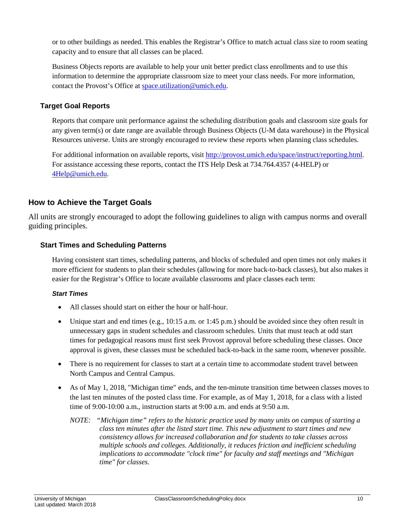or to other buildings as needed. This enables the Registrar's Office to match actual class size to room seating capacity and to ensure that all classes can be placed.

Business Objects reports are available to help your unit better predict class enrollments and to use this information to determine the appropriate classroom size to meet your class needs. For more information, contact the Provost's Office a[t space.utilization@umich.edu.](mailto:space.utilization@umich.edu)

#### **Target Goal Reports**

Reports that compare unit performance against the scheduling distribution goals and classroom size goals for any given term(s) or date range are available through Business Objects (U-M data warehouse) in the Physical Resources universe. Units are strongly encouraged to review these reports when planning class schedules.

For additional information on available reports, visi[t http://provost.umich.edu/space/instruct/reporting.html.](http://provost.umich.edu/space/instruct/reporting.html) For assistance accessing these reports, contact the ITS Help Desk at 734.764.4357 (4-HELP) or [4Help@umich.edu.](mailto:4Help@umich.edu)

# **How to Achieve the Target Goals**

All units are strongly encouraged to adopt the following guidelines to align with campus norms and overall guiding principles.

#### **Start Times and Scheduling Patterns**

Having consistent start times, scheduling patterns, and blocks of scheduled and open times not only makes it more efficient for students to plan their schedules (allowing for more back-to-back classes), but also makes it easier for the Registrar's Office to locate available classrooms and place classes each term:

#### *Start Times*

- All classes should start on either the hour or half-hour.
- Unique start and end times (e.g.,  $10:15$  a.m. or  $1:45$  p.m.) should be avoided since they often result in unnecessary gaps in student schedules and classroom schedules. Units that must teach at odd start times for pedagogical reasons must first seek Provost approval before scheduling these classes. Once approval is given, these classes must be scheduled back-to-back in the same room, whenever possible.
- There is no requirement for classes to start at a certain time to accommodate student travel between North Campus and Central Campus.
- As of May 1, 2018, "Michigan time" ends, and the ten-minute transition time between classes moves to the last ten minutes of the posted class time. For example, as of May 1, 2018, for a class with a listed time of 9:00-10:00 a.m., instruction starts at 9:00 a.m. and ends at 9:50 a.m.
	- *NOTE: "Michigan time" refers to the historic practice used by many units on campus of starting a class ten minutes after the listed start time. This new adjustment to start times and new consistency allows for increased collaboration and for students to take classes across multiple schools and colleges. Additionally, it reduces friction and inefficient scheduling implications to accommodate "clock time" for faculty and staff meetings and "Michigan time" for classes.*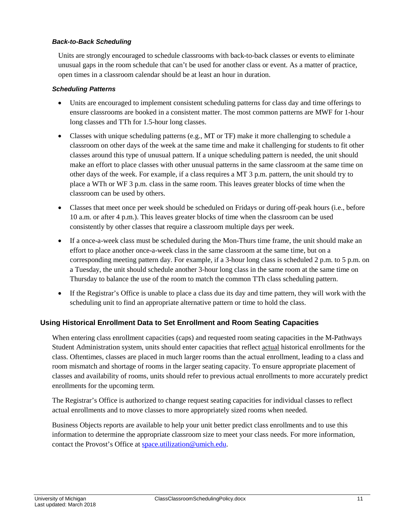#### *Back-to-Back Scheduling*

Units are strongly encouraged to schedule classrooms with back-to-back classes or events to eliminate unusual gaps in the room schedule that can't be used for another class or event. As a matter of practice, open times in a classroom calendar should be at least an hour in duration.

#### *Scheduling Patterns*

- Units are encouraged to implement consistent scheduling patterns for class day and time offerings to ensure classrooms are booked in a consistent matter. The most common patterns are MWF for 1-hour long classes and TTh for 1.5-hour long classes.
- Classes with unique scheduling patterns (e.g., MT or TF) make it more challenging to schedule a classroom on other days of the week at the same time and make it challenging for students to fit other classes around this type of unusual pattern. If a unique scheduling pattern is needed, the unit should make an effort to place classes with other unusual patterns in the same classroom at the same time on other days of the week. For example, if a class requires a MT 3 p.m. pattern, the unit should try to place a WTh or WF 3 p.m. class in the same room. This leaves greater blocks of time when the classroom can be used by others.
- Classes that meet once per week should be scheduled on Fridays or during off-peak hours (i.e., before 10 a.m. or after 4 p.m.). This leaves greater blocks of time when the classroom can be used consistently by other classes that require a classroom multiple days per week.
- If a once-a-week class must be scheduled during the Mon-Thurs time frame, the unit should make an effort to place another once-a-week class in the same classroom at the same time, but on a corresponding meeting pattern day. For example, if a 3-hour long class is scheduled 2 p.m. to 5 p.m. on a Tuesday, the unit should schedule another 3-hour long class in the same room at the same time on Thursday to balance the use of the room to match the common TTh class scheduling pattern.
- If the Registrar's Office is unable to place a class due its day and time pattern, they will work with the scheduling unit to find an appropriate alternative pattern or time to hold the class.

#### **Using Historical Enrollment Data to Set Enrollment and Room Seating Capacities**

When entering class enrollment capacities (caps) and requested room seating capacities in the M-Pathways Student Administration system, units should enter capacities that reflect actual historical enrollments for the class. Oftentimes, classes are placed in much larger rooms than the actual enrollment, leading to a class and room mismatch and shortage of rooms in the larger seating capacity. To ensure appropriate placement of classes and availability of rooms, units should refer to previous actual enrollments to more accurately predict enrollments for the upcoming term.

The Registrar's Office is authorized to change request seating capacities for individual classes to reflect actual enrollments and to move classes to more appropriately sized rooms when needed.

Business Objects reports are available to help your unit better predict class enrollments and to use this information to determine the appropriate classroom size to meet your class needs. For more information, contact the Provost's Office a[t space.utilization@umich.edu.](mailto:space.utilization@umich.edu)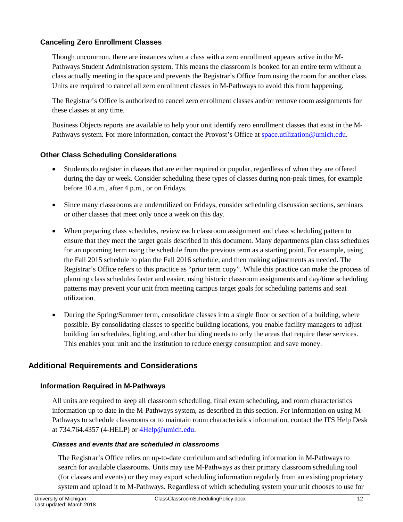# **Canceling Zero Enrollment Classes**

Though uncommon, there are instances when a class with a zero enrollment appears active in the M-Pathways Student Administration system. This means the classroom is booked for an entire term without a class actually meeting in the space and prevents the Registrar's Office from using the room for another class. Units are required to cancel all zero enrollment classes in M-Pathways to avoid this from happening.

The Registrar's Office is authorized to cancel zero enrollment classes and/or remove room assignments for these classes at any time.

Business Objects reports are available to help your unit identify zero enrollment classes that exist in the MPathways system. For more information, contact the Provost's Office at [space.utilization@umich.edu.](mailto:space.utilization@umich.edu)

#### **Other Class Scheduling Considerations**

- Students do register in classes that are either required or popular, regardless of when they are offered during the day or week. Consider scheduling these types of classes during non-peak times, for example before 10 a.m., after 4 p.m., or on Fridays.
- Since many classrooms are underutilized on Fridays, consider scheduling discussion sections, seminars or other classes that meet only once a week on this day.
- When preparing class schedules, review each classroom assignment and class scheduling pattern to ensure that they meet the target goals described in this document. Many departments plan class schedules for an upcoming term using the schedule from the previous term as a starting point. For example, using the Fall 2015 schedule to plan the Fall 2016 schedule, and then making adjustments as needed. The Registrar's Office refers to this practice as "prior term copy". While this practice can make the process of planning class schedules faster and easier, using historic classroom assignments and day/time scheduling patterns may prevent your unit from meeting campus target goals for scheduling patterns and seat utilization.
- During the Spring/Summer term, consolidate classes into a single floor or section of a building, where possible. By consolidating classes to specific building locations, you enable facility managers to adjust building fan schedules, lighting, and other building needs to only the areas that require these services. This enables your unit and the institution to reduce energy consumption and save money.

# **Additional Requirements and Considerations**

#### **Information Required in M-Pathways**

All units are required to keep all classroom scheduling, final exam scheduling, and room characteristics information up to date in the M-Pathways system, as described in this section. For information on using M-Pathways to schedule classrooms or to maintain room characteristics information, contact the ITS Help Desk at 734.764.4357 (4-HELP) or [4Help@umich.edu.](mailto:4Help@umich.edu)

#### *Classes and events that are scheduled in classrooms*

The Registrar's Office relies on up-to-date curriculum and scheduling information in M-Pathways to search for available classrooms. Units may use M-Pathways as their primary classroom scheduling tool (for classes and events) or they may export scheduling information regularly from an existing proprietary system and upload it to M-Pathways. Regardless of which scheduling system your unit chooses to use for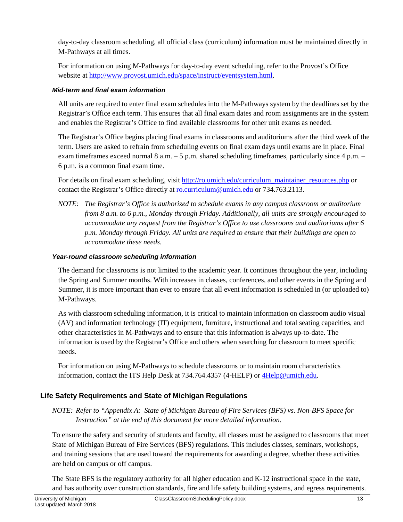day-to-day classroom scheduling, all official class (curriculum) information must be maintained directly in M-Pathways at all times.

For information on using M-Pathways for day-to-day event scheduling, refer to the Provost's Office website at [http://www.provost.umich.edu/space/instruct/eventsystem.html.](http://www.provost.umich.edu/space/instruct/eventsystem.html)

#### *Mid-term and final exam information*

All units are required to enter final exam schedules into the M-Pathways system by the deadlines set by the Registrar's Office each term. This ensures that all final exam dates and room assignments are in the system and enables the Registrar's Office to find available classrooms for other unit exams as needed.

The Registrar's Office begins placing final exams in classrooms and auditoriums after the third week of the term. Users are asked to refrain from scheduling events on final exam days until exams are in place. Final exam timeframes exceed normal 8 a.m. – 5 p.m. shared scheduling timeframes, particularly since 4 p.m. – 6 p.m. is a common final exam time.

For details on final exam scheduling, visit [http://ro.umich.edu/curriculum\\_maintainer\\_resources.php](http://ro.umich.edu/curriculum_maintainer_resources.php) or contact the Registrar's Office directly at [ro.curriculum@umich.edu](mailto:ro.curriculum@umich.edu) or 734.763.2113.

*NOTE: The Registrar's Office is authorized to schedule exams in any campus classroom or auditorium from 8 a.m. to 6 p.m., Monday through Friday. Additionally, all units are strongly encouraged to accommodate any request from the Registrar's Office to use classrooms and auditoriums after 6 p.m. Monday through Friday. All units are required to ensure that their buildings are open to accommodate these needs.*

#### *Year-round classroom scheduling information*

The demand for classrooms is not limited to the academic year. It continues throughout the year, including the Spring and Summer months. With increases in classes, conferences, and other events in the Spring and Summer, it is more important than ever to ensure that all event information is scheduled in (or uploaded to) M-Pathways.

As with classroom scheduling information, it is critical to maintain information on classroom audio visual (AV) and information technology (IT) equipment, furniture, instructional and total seating capacities, and other characteristics in M-Pathways and to ensure that this information is always up-to-date. The information is used by the Registrar's Office and others when searching for classroom to meet specific needs.

For information on using M-Pathways to schedule classrooms or to maintain room characteristics information, contact the ITS Help Desk at 734.764.4357 (4-HELP) or [4Help@umich.edu.](mailto:4Help@umich.edu)

# **Life Safety Requirements and State of Michigan Regulations**

*NOTE: Refer to "Appendix A: State of Michigan Bureau of Fire Services (BFS) vs. Non-BFS Space for Instruction" at the end of this document for more detailed information.*

To ensure the safety and security of students and faculty, all classes must be assigned to classrooms that meet State of Michigan Bureau of Fire Services (BFS) regulations. This includes classes, seminars, workshops, and training sessions that are used toward the requirements for awarding a degree, whether these activities are held on campus or off campus.

The State BFS is the regulatory authority for all higher education and K-12 instructional space in the state, and has authority over construction standards, fire and life safety building systems, and egress requirements.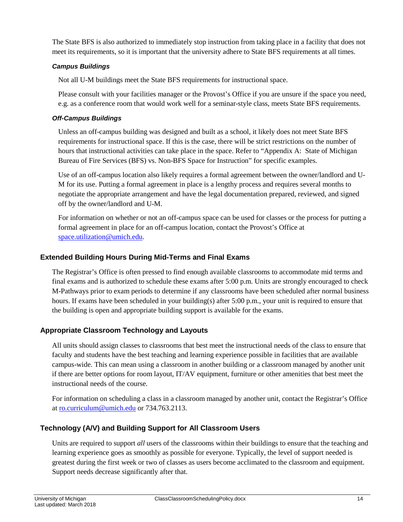The State BFS is also authorized to immediately stop instruction from taking place in a facility that does not meet its requirements, so it is important that the university adhere to State BFS requirements at all times.

#### *Campus Buildings*

Not all U-M buildings meet the State BFS requirements for instructional space.

Please consult with your facilities manager or the Provost's Office if you are unsure if the space you need, e.g. as a conference room that would work well for a seminar-style class, meets State BFS requirements.

#### *Off-Campus Buildings*

Unless an off-campus building was designed and built as a school, it likely does not meet State BFS requirements for instructional space. If this is the case, there will be strict restrictions on the number of hours that instructional activities can take place in the space. Refer to "Appendix A: State of Michigan Bureau of Fire Services (BFS) vs. Non-BFS Space for Instruction" for specific examples.

Use of an off-campus location also likely requires a formal agreement between the owner/landlord and U-M for its use. Putting a formal agreement in place is a lengthy process and requires several months to negotiate the appropriate arrangement and have the legal documentation prepared, reviewed, and signed off by the owner/landlord and U-M.

For information on whether or not an off-campus space can be used for classes or the process for putting a formal agreement in place for an off-campus location, contact the Provost's Office at [space.utilization@umich.edu.](mailto:space.utilization@umich.edu)

### **Extended Building Hours During Mid-Terms and Final Exams**

The Registrar's Office is often pressed to find enough available classrooms to accommodate mid terms and final exams and is authorized to schedule these exams after 5:00 p.m. Units are strongly encouraged to check M-Pathways prior to exam periods to determine if any classrooms have been scheduled after normal business hours. If exams have been scheduled in your building(s) after 5:00 p.m., your unit is required to ensure that the building is open and appropriate building support is available for the exams.

#### **Appropriate Classroom Technology and Layouts**

All units should assign classes to classrooms that best meet the instructional needs of the class to ensure that faculty and students have the best teaching and learning experience possible in facilities that are available campus-wide. This can mean using a classroom in another building or a classroom managed by another unit if there are better options for room layout, IT/AV equipment, furniture or other amenities that best meet the instructional needs of the course.

For information on scheduling a class in a classroom managed by another unit, contact the Registrar's Office at [ro.curriculum@umich.edu](mailto:ro.curriculum@umich.edu) or 734.763.2113.

#### **Technology (A/V) and Building Support for All Classroom Users**

Units are required to support *all* users of the classrooms within their buildings to ensure that the teaching and learning experience goes as smoothly as possible for everyone. Typically, the level of support needed is greatest during the first week or two of classes as users become acclimated to the classroom and equipment. Support needs decrease significantly after that.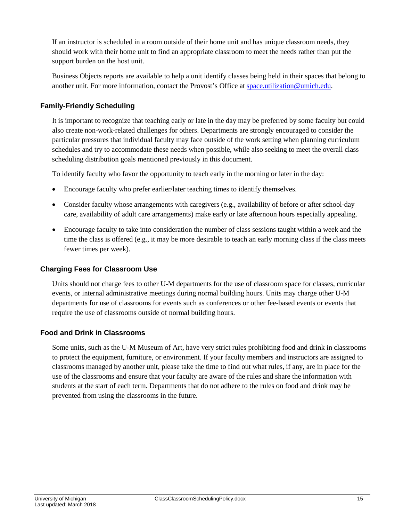If an instructor is scheduled in a room outside of their home unit and has unique classroom needs, they should work with their home unit to find an appropriate classroom to meet the needs rather than put the support burden on the host unit.

Business Objects reports are available to help a unit identify classes being held in their spaces that belong to another unit. For more information, contact the Provost's Office at [space.utilization@umich.edu.](mailto:space.utilization@umich.edu)

### **Family-Friendly Scheduling**

It is important to recognize that teaching early or late in the day may be preferred by some faculty but could also create non-work-related challenges for others. Departments are strongly encouraged to consider the particular pressures that individual faculty may face outside of the work setting when planning curriculum schedules and try to accommodate these needs when possible, while also seeking to meet the overall class scheduling distribution goals mentioned previously in this document.

To identify faculty who favor the opportunity to teach early in the morning or later in the day:

- Encourage faculty who prefer earlier/later teaching times to identify themselves.
- Consider faculty whose arrangements with caregivers (e.g., availability of before or after school-day care, availability of adult care arrangements) make early or late afternoon hours especially appealing.
- Encourage faculty to take into consideration the number of class sessions taught within a week and the time the class is offered (e.g., it may be more desirable to teach an early morning class if the class meets fewer times per week).

#### **Charging Fees for Classroom Use**

Units should not charge fees to other U-M departments for the use of classroom space for classes, curricular events, or internal administrative meetings during normal building hours. Units may charge other U-M departments for use of classrooms for events such as conferences or other fee-based events or events that require the use of classrooms outside of normal building hours.

#### **Food and Drink in Classrooms**

Some units, such as the U-M Museum of Art, have very strict rules prohibiting food and drink in classrooms to protect the equipment, furniture, or environment. If your faculty members and instructors are assigned to classrooms managed by another unit, please take the time to find out what rules, if any, are in place for the use of the classrooms and ensure that your faculty are aware of the rules and share the information with students at the start of each term. Departments that do not adhere to the rules on food and drink may be prevented from using the classrooms in the future.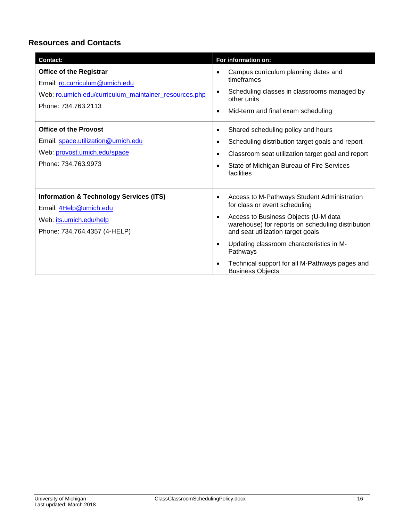# **Resources and Contacts**

| <b>Contact:</b>                                                                                                                                  | For information on:                                                                                                                                                                                                                                                                                                                                                                                     |
|--------------------------------------------------------------------------------------------------------------------------------------------------|---------------------------------------------------------------------------------------------------------------------------------------------------------------------------------------------------------------------------------------------------------------------------------------------------------------------------------------------------------------------------------------------------------|
| <b>Office of the Registrar</b><br>Email: ro.curriculum@umich.edu<br>Web: ro.umich.edu/curriculum_maintainer_resources.php<br>Phone: 734.763.2113 | Campus curriculum planning dates and<br>$\bullet$<br>timeframes<br>Scheduling classes in classrooms managed by<br>$\bullet$<br>other units<br>Mid-term and final exam scheduling<br>$\bullet$                                                                                                                                                                                                           |
| <b>Office of the Provost</b><br>Email: space.utilization@umich.edu<br>Web: provost.umich.edu/space<br>Phone: 734.763.9973                        | Shared scheduling policy and hours<br>$\bullet$<br>Scheduling distribution target goals and report<br>$\bullet$<br>Classroom seat utilization target goal and report<br>$\bullet$<br>State of Michigan Bureau of Fire Services<br>$\bullet$<br>facilities                                                                                                                                               |
| <b>Information &amp; Technology Services (ITS)</b><br>Email: 4Help@umich.edu<br>Web: its.umich.edu/help<br>Phone: 734.764.4357 (4-HELP)          | Access to M-Pathways Student Administration<br>$\bullet$<br>for class or event scheduling<br>Access to Business Objects (U-M data<br>$\bullet$<br>warehouse) for reports on scheduling distribution<br>and seat utilization target goals<br>Updating classroom characteristics in M-<br>$\bullet$<br>Pathways<br>Technical support for all M-Pathways pages and<br>$\bullet$<br><b>Business Objects</b> |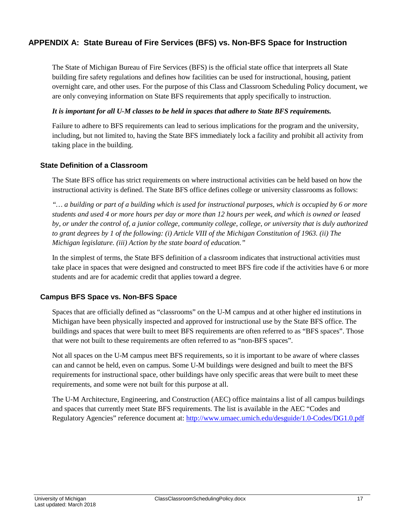# **APPENDIX A: State Bureau of Fire Services (BFS) vs. Non-BFS Space for Instruction**

The State of Michigan Bureau of Fire Services (BFS) is the official state office that interprets all State building fire safety regulations and defines how facilities can be used for instructional, housing, patient overnight care, and other uses. For the purpose of this Class and Classroom Scheduling Policy document, we are only conveying information on State BFS requirements that apply specifically to instruction.

#### *It is important for all U-M classes to be held in spaces that adhere to State BFS requirements.*

Failure to adhere to BFS requirements can lead to serious implications for the program and the university, including, but not limited to, having the State BFS immediately lock a facility and prohibit all activity from taking place in the building.

#### **State Definition of a Classroom**

The State BFS office has strict requirements on where instructional activities can be held based on how the instructional activity is defined. The State BFS office defines college or university classrooms as follows:

*"… a building or part of a building which is used for instructional purposes, which is occupied by 6 or more students and used 4 or more hours per day or more than 12 hours per week, and which is owned or leased by, or under the control of, a junior college, community college, college, or university that is duly authorized to grant degrees by 1 of the following: (i) Article VIII of the Michigan Constitution of 1963. (ii) The Michigan legislature. (iii) Action by the state board of education."*

In the simplest of terms, the State BFS definition of a classroom indicates that instructional activities must take place in spaces that were designed and constructed to meet BFS fire code if the activities have 6 or more students and are for academic credit that applies toward a degree.

#### **Campus BFS Space vs. Non-BFS Space**

Spaces that are officially defined as "classrooms" on the U-M campus and at other higher ed institutions in Michigan have been physically inspected and approved for instructional use by the State BFS office. The buildings and spaces that were built to meet BFS requirements are often referred to as "BFS spaces". Those that were not built to these requirements are often referred to as "non-BFS spaces".

Not all spaces on the U-M campus meet BFS requirements, so it is important to be aware of where classes can and cannot be held, even on campus. Some U-M buildings were designed and built to meet the BFS requirements for instructional space, other buildings have only specific areas that were built to meet these requirements, and some were not built for this purpose at all.

The U-M Architecture, Engineering, and Construction (AEC) office maintains a list of all campus buildings and spaces that currently meet State BFS requirements. The list is available in the AEC "Codes and Regulatory Agencies" reference document at: <http://www.umaec.umich.edu/desguide/1.0-Codes/DG1.0.pdf>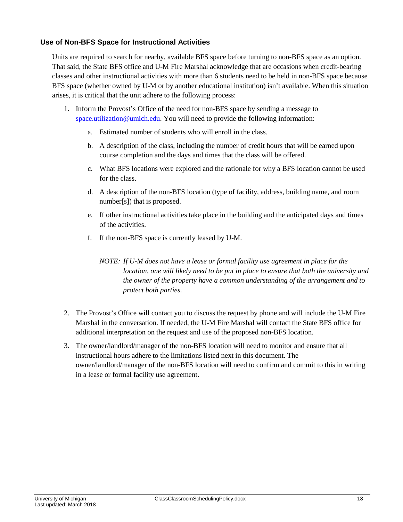#### **Use of Non-BFS Space for Instructional Activities**

Units are required to search for nearby, available BFS space before turning to non-BFS space as an option. That said, the State BFS office and U-M Fire Marshal acknowledge that are occasions when credit-bearing classes and other instructional activities with more than 6 students need to be held in non-BFS space because BFS space (whether owned by U-M or by another educational institution) isn't available. When this situation arises, it is critical that the unit adhere to the following process:

- 1. Inform the Provost's Office of the need for non-BFS space by sending a message to [space.utilization@umich.edu.](mailto:space.utilization@umich.edu) You will need to provide the following information:
	- a. Estimated number of students who will enroll in the class.
	- b. A description of the class, including the number of credit hours that will be earned upon course completion and the days and times that the class will be offered.
	- c. What BFS locations were explored and the rationale for why a BFS location cannot be used for the class.
	- d. A description of the non-BFS location (type of facility, address, building name, and room number[s]) that is proposed.
	- e. If other instructional activities take place in the building and the anticipated days and times of the activities.
	- f. If the non-BFS space is currently leased by U-M.

# *NOTE: If U-M does not have a lease or formal facility use agreement in place for the location, one will likely need to be put in place to ensure that both the university and the owner of the property have a common understanding of the arrangement and to protect both parties.*

- 2. The Provost's Office will contact you to discuss the request by phone and will include the U-M Fire Marshal in the conversation. If needed, the U-M Fire Marshal will contact the State BFS office for additional interpretation on the request and use of the proposed non-BFS location.
- 3. The owner/landlord/manager of the non-BFS location will need to monitor and ensure that all instructional hours adhere to the limitations listed next in this document. The owner/landlord/manager of the non-BFS location will need to confirm and commit to this in writing in a lease or formal facility use agreement.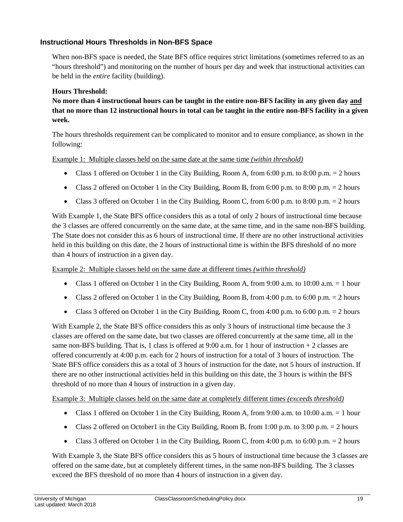#### **Instructional Hours Thresholds in Non-BFS Space**

When non-BFS space is needed, the State BFS office requires strict limitations (sometimes referred to as an "hours threshold") and monitoring on the number of hours per day and week that instructional activities can be held in the *entire* facility (building).

#### **Hours Threshold:**

**No more than 4 instructional hours can be taught in the entire non-BFS facility in any given day and that no more than 12 instructional hours in total can be taught in the entire non-BFS facility in a given week.**

The hours thresholds requirement can be complicated to monitor and to ensure compliance, as shown in the following:

Example 1: Multiple classes held on the same date at the same time *(within threshold)*

- Class 1 offered on October 1 in the City Building, Room A, from 6:00 p.m. to 8:00 p.m.  $= 2$  hours
- Class 2 offered on October 1 in the City Building, Room B, from 6:00 p.m. to 8:00 p.m. = 2 hours
- Class 3 offered on October 1 in the City Building, Room C, from 6:00 p.m. to 8:00 p.m.  $= 2$  hours

With Example 1, the State BFS office considers this as a total of only 2 hours of instructional time because the 3 classes are offered concurrently on the same date, at the same time, and in the same non-BFS building. The State does not consider this as 6 hours of instructional time. If there are no other instructional activities held in this building on this date, the 2 hours of instructional time is within the BFS threshold of no more than 4 hours of instruction in a given day.

Example 2: Multiple classes held on the same date at different times *(within threshold)*

- Class 1 offered on October 1 in the City Building, Room A, from 9:00 a.m. to 10:00 a.m.  $= 1$  hour
- Class 2 offered on October 1 in the City Building, Room B, from 4:00 p.m. to 6:00 p.m.  $= 2$  hours
- Class 3 offered on October 1 in the City Building, Room C, from 4:00 p.m. to 6:00 p.m. = 2 hours

With Example 2, the State BFS office considers this as only 3 hours of instructional time because the 3 classes are offered on the same date, but two classes are offered concurrently at the same time, all in the same non-BFS building. That is, 1 class is offered at 9:00 a.m. for 1 hour of instruction + 2 classes are offered concurrently at 4:00 p.m. each for 2 hours of instruction for a total of 3 hours of instruction. The State BFS office considers this as a total of 3 hours of instruction for the date, not 5 hours of instruction. If there are no other instructional activities held in this building on this date, the 3 hours is within the BFS threshold of no more than 4 hours of instruction in a given day.

Example 3: Multiple classes held on the same date at completely different times *(exceeds threshold)*

- Class 1 offered on October 1 in the City Building, Room A, from 9:00 a.m. to 10:00 a.m. = 1 hour
- Class 2 offered on October1 in the City Building, Room B, from 1:00 p.m. to 3:00 p.m.  $= 2$  hours
- Class 3 offered on October 1 in the City Building, Room C, from 4:00 p.m. to 6:00 p.m. = 2 hours

With Example 3, the State BFS office considers this as 5 hours of instructional time because the 3 classes are offered on the same date, but at completely different times, in the same non-BFS building. The 3 classes exceed the BFS threshold of no more than 4 hours of instruction in a given day.